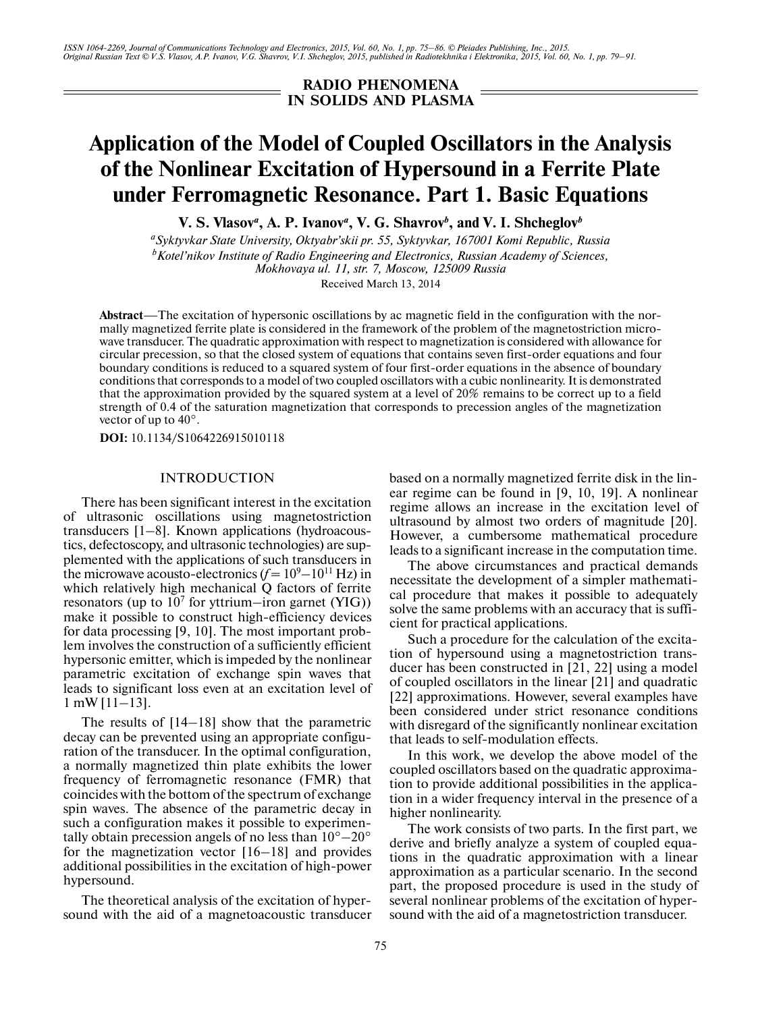*ISSN 1064-2269, Journal of Communications Technology and Electronics, 2015, Vol. 60, No. 1, pp. 75–86. © Pleiades Publishing, Inc., 2015. Original Russian Text © V.S. Vlasov, A.P. Ivanov, V.G. Shavrov, V.I. Shcheglov, 2015, published in Radiotekhnika i Elektronika, 2015, Vol. 60, No. 1, pp. 79–91.*

> **RADIO PHENOMENA IN SOLIDS AND PLASMA**

# **Application of the Model of Coupled Oscillators in the Analysis of the Nonlinear Excitation of Hypersound in a Ferrite Plate under Ferromagnetic Resonance. Part 1. Basic Equations**

**V. S. Vlasov***<sup>a</sup>* **, A. P. Ivanov***<sup>a</sup>* **, V. G. Shavrov***<sup>b</sup>* **, and V. I. Shcheglov***<sup>b</sup>*

*a Syktyvkar State University, Oktyabr'skii pr. 55, Syktyvkar, 167001 Komi Republic, Russia b Kotel'nikov Institute of Radio Engineering and Electronics, Russian Academy of Sciences, Mokhovaya ul. 11, str. 7, Moscow, 125009 Russia* Received March 13, 2014

**Abstract**—The excitation of hypersonic oscillations by ac magnetic field in the configuration with the nor mally magnetized ferrite plate is considered in the framework of the problem of the magnetostriction micro wave transducer. The quadratic approximation with respect to magnetization is considered with allowance for circular precession, so that the closed system of equations that contains seven first-order equations and four boundary conditions is reduced to a squared system of four first-order equations in the absence of boundary conditions that corresponds to a model of two coupled oscillators with a cubic nonlinearity. It is demonstrated that the approximation provided by the squared system at a level of 20% remains to be correct up to a field strength of 0.4 of the saturation magnetization that corresponds to precession angles of the magnetization vector of up to 40°.

**DOI:** 10.1134/S1064226915010118

## INTRODUCTION

There has been significant interest in the excitation of ultrasonic oscillations using magnetostriction transducers [1–8]. Known applications (hydroacous tics, defectoscopy, and ultrasonic technologies) are sup plemented with the applications of such transducers in the microwave acousto-electronics  $(f = 10^9 - 10^{11} \text{ Hz})$  in which relatively high mechanical Q factors of ferrite resonators (up to  $10^7$  for yttrium-iron garnet (YIG)) make it possible to construct high-efficiency devices for data processing [9, 10]. The most important prob lem involves the construction of a sufficiently efficient hypersonic emitter, which is impeded by the nonlinear parametric excitation of exchange spin waves that leads to significant loss even at an excitation level of 1 mW [11–13].

The results of [14–18] show that the parametric decay can be prevented using an appropriate configu ration of the transducer. In the optimal configuration, a normally magnetized thin plate exhibits the lower frequency of ferromagnetic resonance (FMR) that coincides with the bottom of the spectrum of exchange spin waves. The absence of the parametric decay in such a configuration makes it possible to experimen tally obtain precession angels of no less than  $10^{\circ} - 20^{\circ}$ for the magnetization vector [16–18] and provides additional possibilities in the excitation of high-power hypersound.

The theoretical analysis of the excitation of hyper sound with the aid of a magnetoacoustic transducer

based on a normally magnetized ferrite disk in the lin ear regime can be found in [9, 10, 19]. A nonlinear regime allows an increase in the excitation level of ultrasound by almost two orders of magnitude [20]. However, a cumbersome mathematical procedure leads to a significant increase in the computation time.

The above circumstances and practical demands necessitate the development of a simpler mathemati cal procedure that makes it possible to adequately solve the same problems with an accuracy that is suffi cient for practical applications.

Such a procedure for the calculation of the excita tion of hypersound using a magnetostriction trans ducer has been constructed in [21, 22] using a model of coupled oscillators in the linear [21] and quadratic [22] approximations. However, several examples have been considered under strict resonance conditions with disregard of the significantly nonlinear excitation that leads to self-modulation effects.

In this work, we develop the above model of the coupled oscillators based on the quadratic approxima tion to provide additional possibilities in the applica tion in a wider frequency interval in the presence of a higher nonlinearity.

The work consists of two parts. In the first part, we derive and briefly analyze a system of coupled equa tions in the quadratic approximation with a linear approximation as a particular scenario. In the second part, the proposed procedure is used in the study of several nonlinear problems of the excitation of hyper sound with the aid of a magnetostriction transducer.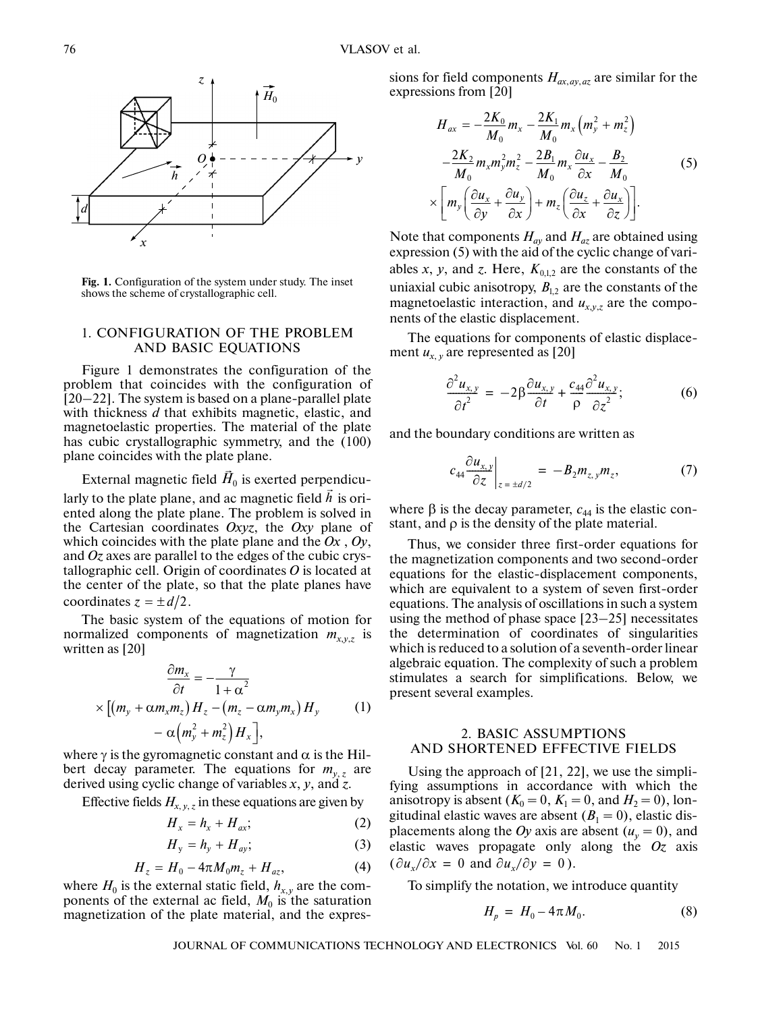

**Fig. 1.** Configuration of the system under study. The inset shows the scheme of crystallographic cell.

#### 1. CONFIGURATION OF THE PROBLEM AND BASIC EQUATIONS

Figure 1 demonstrates the configuration of the problem that coincides with the configuration of [20–22]. The system is based on a plane-parallel plate with thickness *d* that exhibits magnetic, elastic, and magnetoelastic properties. The material of the plate has cubic crystallographic symmetry, and the (100) plane coincides with the plate plane.

External magnetic field  $\vec{H}_0$  is exerted perpendicularly to the plate plane, and ac magnetic field  $\vec{h}$  is oriented along the plate plane. The problem is solved in the Cartesian coordinates *Oxyz*, the *Oxy* plane of which coincides with the plate plane and the *Ox* , *Oy*, and *Oz* axes are parallel to the edges of the cubic crys tallographic cell. Origin of coordinates *O* is located at the center of the plate, so that the plate planes have the center of the plate<br>coordinates  $z = \pm d/2$ .

The basic system of the equations of motion for normalized components of magnetization  $m_{x,y,z}$  is written as [20]

$$
\frac{\partial m_x}{\partial t} = -\frac{\gamma}{1 + \alpha^2}
$$
  
 
$$
\times \left[ \left( m_y + \alpha m_x m_z \right) H_z - \left( m_z - \alpha m_y m_x \right) H_y \right]
$$
 (1)  
 
$$
- \alpha \left( m_y^2 + m_z^2 \right) H_x \right],
$$

where  $\gamma$  is the gyromagnetic constant and  $\alpha$  is the Hilbert decay parameter. The equations for  $m_{v,z}$  are derived using cyclic change of variables *x*, *y*, and *z*.

Effective fields  $H_{x, y, z}$  in these equations are given by

$$
H_x = h_x + H_{ax};
$$
 (2)

$$
H_y = h_y + H_{ay}; \t(3)
$$

$$
H_z = H_0 - 4\pi M_0 m_z + H_{az}, \tag{4}
$$

where  $H_0$  is the external static field,  $h_{x,y}$  are the components of the external ac field,  $M_0$  is the saturation magnetization of the plate material, and the expressions for field components *Hax*,*ay*,*az* are similar for the expressions from [20]

$$
H_{ax} = -\frac{2K_0}{M_0} m_x - \frac{2K_1}{M_0} m_x \left( m_y^2 + m_z^2 \right)
$$
  

$$
-\frac{2K_2}{M_0} m_x m_y^2 m_z^2 - \frac{2B_1}{M_0} m_x \frac{\partial u_x}{\partial x} - \frac{B_2}{M_0}
$$
  

$$
\times \left[ m_y \left( \frac{\partial u_x}{\partial y} + \frac{\partial u_y}{\partial x} \right) + m_z \left( \frac{\partial u_z}{\partial x} + \frac{\partial u_x}{\partial z} \right) \right].
$$
 (5)

Note that components  $H_{ay}$  and  $H_{az}$  are obtained using expression (5) with the aid of the cyclic change of vari ables *x*, *y*, and *z*. Here,  $K_{0,1,2}$  are the constants of the uniaxial cubic anisotropy,  $B_{1,2}$  are the constants of the magnetoelastic interaction, and  $u_{x,y,z}$  are the components of the elastic displacement.

The equations for components of elastic displace ment  $u_{x,y}$  are represented as [20]

$$
\frac{\partial^2 u_{x,y}}{\partial t^2} = -2\beta \frac{\partial u_{x,y}}{\partial t} + \frac{c_{44}}{\rho} \frac{\partial^2 u_{x,y}}{\partial z^2};
$$
 (6)

and the boundary conditions are written as

$$
c_{44} \frac{\partial u_{x,y}}{\partial z}\bigg|_{z=\pm d/2} = -B_2 m_{z,y} m_z, \tag{7}
$$

where  $\beta$  is the decay parameter,  $c_{44}$  is the elastic constant, and  $\rho$  is the density of the plate material.

Thus, we consider three first-order equations for the magnetization components and two second-order equations for the elastic-displacement components, which are equivalent to a system of seven first-order equations. The analysis of oscillations in such a system using the method of phase space [23–25] necessitates the determination of coordinates of singularities which is reduced to a solution of a seventh-order linear algebraic equation. The complexity of such a problem stimulates a search for simplifications. Below, we present several examples.

# 2. BASIC ASSUMPTIONS AND SHORTENED EFFECTIVE FIELDS

Using the approach of [21, 22], we use the simpli fying assumptions in accordance with which the anisotropy is absent  $(K_0 = 0, K_1 = 0, \text{ and } H_2 = 0)$ , longitudinal elastic waves are absent  $(B_1 = 0)$ , elastic displacements along the *Oy* axis are absent  $(u_v = 0)$ , and elastic waves propagate only along the *Oz* axis  $(\partial u_x / \partial x = 0 \text{ and } \partial u_x / \partial y = 0).$ 

To simplify the notation, we introduce quantity

$$
H_p = H_0 - 4\pi M_0. \tag{8}
$$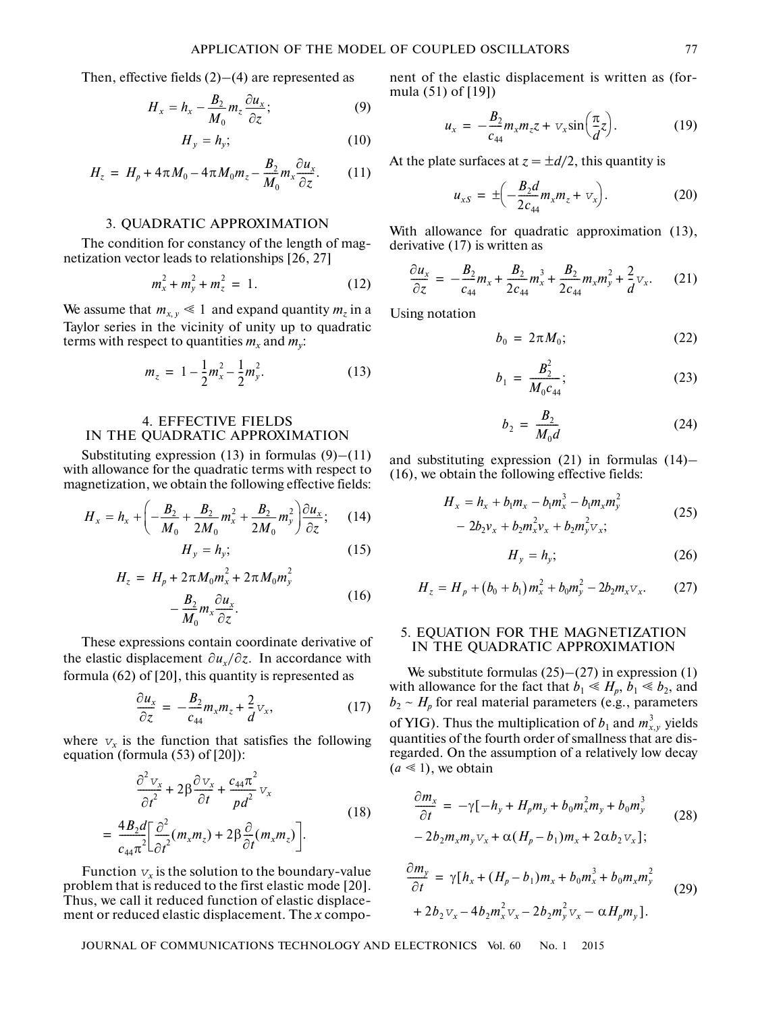Then, effective fields  $(2)$ – $(4)$  are represented as

$$
H_x = h_x - \frac{B_2}{M_0} m_z \frac{\partial u_x}{\partial z};
$$
\n(9)

$$
H_y = h_y; \tag{10}
$$

$$
H_z = H_p + 4\pi M_0 - 4\pi M_0 m_z - \frac{B_2}{M_0} m_x \frac{\partial u_x}{\partial z}.
$$
 (11)

#### 3. QUADRATIC APPROXIMATION

The condition for constancy of the length of mag netization vector leads to relationships [26, 27]

$$
m_x^2 + m_y^2 + m_z^2 = 1.
$$
 (12)

We assume that  $m_{x,y} \leq 1$  and expand quantity  $m_z$  in a Taylor series in the vicinity of unity up to quadratic terms with respect to quantities  $m_x$  and  $m_y$ :

$$
m_z = 1 - \frac{1}{2}m_x^2 - \frac{1}{2}m_y^2. \tag{13}
$$

# 4. EFFECTIVE FIELDS IN THE QUADRATIC APPROXIMATION

Substituting expression  $(13)$  in formulas  $(9)$ – $(11)$ with allowance for the quadratic terms with respect to magnetization, we obtain the following effective fields:

$$
H_x = h_x + \left( -\frac{B_2}{M_0} + \frac{B_2}{2M_0} m_x^2 + \frac{B_2}{2M_0} m_y^2 \right) \frac{\partial u_x}{\partial z};
$$
 (14)  

$$
H_y = h_y; \qquad (15)
$$

$$
H_y - H_y,\tag{13}
$$

$$
H_z = H_p + 2\pi M_0 m_x^2 + 2\pi M_0 m_y^2
$$
  

$$
-\frac{B_2}{M_0} m_x \frac{\partial u_x}{\partial z}.
$$
 (16)

These expressions contain coordinate derivative of the elastic displacement  $\partial u_x / \partial z$ . In accordance with formula (62) of [20], this quantity is represented as

$$
\frac{\partial u_x}{\partial z} = -\frac{B_2}{c_{44}} m_x m_z + \frac{2}{d} v_x, \qquad (17)
$$

where  $v<sub>x</sub>$  is the function that satisfies the following equation (formula (53) of [20]):

$$
\frac{\partial^2 v_x}{\partial t^2} + 2\beta \frac{\partial v_x}{\partial t} + \frac{c_{44}\pi^2}{pd^2} v_x
$$
\n
$$
= \frac{4B_2d}{c_{44}\pi^2} \left[ \frac{\partial^2}{\partial t^2} (m_x m_z) + 2\beta \frac{\partial}{\partial t} (m_x m_z) \right].
$$
\n(18)

Function  $v_x$  is the solution to the boundary-value problem that is reduced to the first elastic mode [20]. Thus, we call it reduced function of elastic displace ment or reduced elastic displacement. The *x* compo-

nent of the elastic displacement is written as (for mula (51) of [19])

$$
u_x = -\frac{B_2}{c_{44}} m_x m_z z + v_x \sin\left(\frac{\pi}{d}z\right). \tag{19}
$$

At the plate surfaces at  $z = \pm d/2$ , this quantity is

$$
u_{xS} = \pm \left( -\frac{B_2 d}{2c_{44}} m_x m_z + v_x \right). \tag{20}
$$

With allowance for quadratic approximation (13), derivative (17) is written as

$$
\frac{\partial u_x}{\partial z} = -\frac{B_2}{c_{44}}m_x + \frac{B_2}{2c_{44}}m_x^3 + \frac{B_2}{2c_{44}}m_x^2m_y^2 + \frac{2}{d}v_x. \tag{21}
$$

Using notation

$$
b_0 = 2\pi M_0; \qquad (22)
$$

$$
b_1 = \frac{B_2^2}{M_0 c_{44}};
$$
 (23)

$$
b_2 = \frac{B_2}{M_0 d} \tag{24}
$$

and substituting expression (21) in formulas (14)– (16), we obtain the following effective fields:

$$
H_x = h_x + b_1 m_x - b_1 m_x^3 - b_1 m_x m_y^2
$$
  
- 2b<sub>2</sub>v<sub>x</sub> + b<sub>2</sub>m<sub>x</sub><sup>2</sup>v<sub>x</sub> + b<sub>2</sub>m<sub>y</sub><sup>2</sup>v<sub>x</sub>; (25)

$$
H_{\nu} = h_{\nu};\tag{26}
$$

$$
H_z = H_p + (b_0 + b_1) m_x^2 + b_0 m_y^2 - 2b_2 m_x v_x.
$$
 (27)

# 5. EQUATION FOR THE MAGNETIZATION IN THE QUADRATIC APPROXIMATION

We substitute formulas  $(25)$ – $(27)$  in expression  $(1)$ with allowance for the fact that  $b_1 \le H_p$ ,  $b_1 \le b_2$ , and  $b_2 \sim H_p$  for real material parameters (e.g., parameters of YIG). Thus the multiplication of  $b_1$  and  $m_{x,y}^3$  yields quantities of the fourth order of smallness that are dis regarded. On the assumption of a relatively low decay  $(a \leq 1)$ , we obtain

$$
\frac{\partial m_x}{\partial t} = -\gamma [-h_y + H_p m_y + b_0 m_x^2 m_y + b_0 m_y^3 - 2b_2 m_x m_y v_x + \alpha (H_p - b_1) m_x + 2\alpha b_2 v_x];
$$
\n(28)

$$
\frac{\partial m_y}{\partial t} = \gamma [h_x + (H_p - b_1)m_x + b_0m_x^3 + b_0m_xm_y^2 + 2b_2v_x - 4b_2m_x^2v_x - 2b_2m_y^2v_x - \alpha H_p m_y].
$$
\n(29)

JOURNAL OF COMMUNICATIONS TECHNOLOGY AND ELECTRONICS Vol. 60 No. 1 2015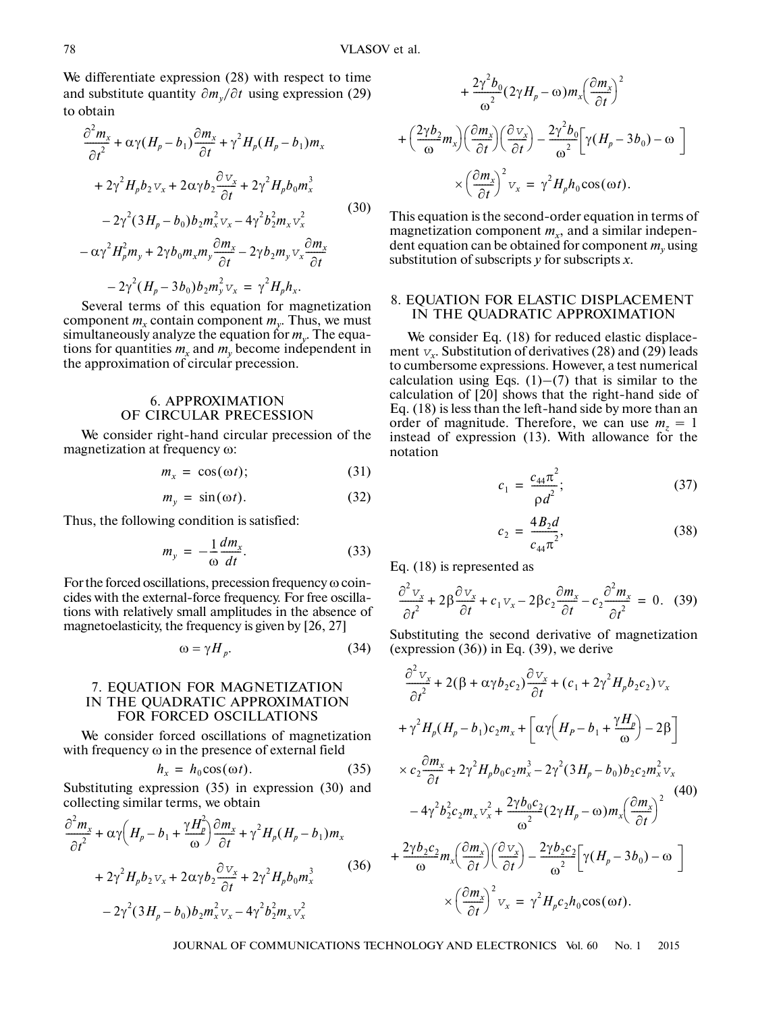We differentiate expression (28) with respect to time and substitute quantity  $\partial m_y / \partial t$  using expression (29) to obtain

$$
\frac{\partial^2 m_x}{\partial t^2} + \alpha \gamma (H_p - b_1) \frac{\partial m_x}{\partial t} + \gamma^2 H_p (H_p - b_1) m_x
$$
  
+  $2\gamma^2 H_p b_2 v_x + 2\alpha \gamma b_2 \frac{\partial v_x}{\partial t} + 2\gamma^2 H_p b_0 m_x^3$   
-  $2\gamma^2 (3H_p - b_0) b_2 m_x^2 v_x - 4\gamma^2 b_2^2 m_x v_x^2$   
-  $\alpha \gamma^2 H_p^2 m_y + 2\gamma b_0 m_x m_y \frac{\partial m_x}{\partial t} - 2\gamma b_2 m_y v_x \frac{\partial m_x}{\partial t}$   
-  $2\gamma^2 (H_p - 3b_0) b_2 m_y^2 v_x = \gamma^2 H_p h_x.$  (30)

Several terms of this equation for magnetization component  $m_r$  contain component  $m_v$ . Thus, we must simultaneously analyze the equation for *my*. The equa tions for quantities  $m_x$  and  $m_y$  become independent in the approximation of circular precession.

# 6. APPROXIMATION OF CIRCULAR PRECESSION

We consider right-hand circular precession of the magnetization at frequency ω:

$$
m_x = \cos(\omega t); \tag{31}
$$

$$
m_y = \sin(\omega t). \tag{32}
$$

Thus, the following condition is satisfied:

$$
m_y = -\frac{1}{\omega} \frac{dm_x}{dt}.
$$
 (33)

For the forced oscillations, precession frequency ω coin cides with the external-force frequency. For free oscilla tions with relatively small amplitudes in the absence of magnetoelasticity, the frequency is given by [26, 27]

$$
\omega = \gamma H_p. \tag{34}
$$

## 7. EQUATION FOR MAGNETIZATION IN THE QUADRATIC APPROXIMATION FOR FORCED OSCILLATIONS

We consider forced oscillations of magnetization with frequency ω in the presence of external field

$$
h_x = h_0 \cos(\omega t). \tag{35}
$$

Substituting expression (35) in expression (30) and collecting similar terms, we obtain

$$
\frac{\partial^2 m_x}{\partial t^2} + \alpha \gamma \left( H_p - b_1 + \frac{\gamma H_p^2}{\omega} \right) \frac{\partial m_x}{\partial t} + \gamma^2 H_p (H_p - b_1) m_x
$$
  
+  $2 \gamma^2 H_p b_2 v_x + 2 \alpha \gamma b_2 \frac{\partial v_x}{\partial t} + 2 \gamma^2 H_p b_0 m_x^3$  (36)  
-  $2 \gamma^2 (3 H_p - b_0) b_2 m_x^2 v_x - 4 \gamma^2 b_2^2 m_x v_x^2$ 

$$
+\frac{2\gamma^{2}b_{0}}{\omega^{2}}(2\gamma H_{p}-\omega)m_{x}\left(\frac{\partial m_{x}}{\partial t}\right)^{2}
$$

$$
+\left(\frac{2\gamma b_{2}}{\omega}m_{x}\right)\left(\frac{\partial m_{x}}{\partial t}\right)\left(\frac{\partial v_{x}}{\partial t}\right)-\frac{2\gamma^{2}b_{0}}{\omega^{2}}\left[\gamma(H_{p}-3b_{0})-\omega\right]
$$

$$
\times\left(\frac{\partial m_{x}}{\partial t}\right)^{2}v_{x}=\gamma^{2}H_{p}h_{0}\cos(\omega t).
$$

This equation is the second-order equation in terms of magnetization component  $m<sub>x</sub>$ , and a similar independent equation can be obtained for component  $m<sub>v</sub>$  using substitution of subscripts *y* for subscripts *x*.

#### 8. EQUATION FOR ELASTIC DISPLACEMENT IN THE QUADRATIC APPROXIMATION

We consider Eq. (18) for reduced elastic displacement  $v_x$ . Substitution of derivatives (28) and (29) leads to cumbersome expressions. However, a test numerical calculation using Eqs.  $(1)$ – $(7)$  that is similar to the calculation of [20] shows that the right-hand side of Eq. (18) is less than the left-hand side by more than an order of magnitude. Therefore, we can use  $m<sub>z</sub> = 1$ instead of expression (13). With allowance for the notation

$$
c_1 = \frac{c_{44}\pi^2}{\rho d^2};
$$
\t(37)

$$
c_2 = \frac{4B_2d}{c_{44}\pi^2},\tag{38}
$$

Eq. (18) is represented as

$$
\frac{\partial^2 v_x}{\partial t^2} + 2\beta \frac{\partial v_x}{\partial t} + c_1 v_x - 2\beta c_2 \frac{\partial m_x}{\partial t} - c_2 \frac{\partial^2 m_x}{\partial t^2} = 0.
$$
 (39)

Substituting the second derivative of magnetization (expression  $(36)$ ) in Eq.  $(39)$ , we derive

$$
\frac{\partial^2 v_x}{\partial t^2} + 2(\beta + \alpha \gamma b_2 c_2) \frac{\partial v_x}{\partial t} + (c_1 + 2\gamma^2 H_p b_2 c_2) v_x
$$
  
+  $\gamma^2 H_p (H_p - b_1) c_2 m_x + \left[ \alpha \gamma \left( H_p - b_1 + \frac{\gamma H_p}{\omega} \right) - 2\beta \right]$   
 $\times c_2 \frac{\partial m_x}{\partial t} + 2\gamma^2 H_p b_0 c_2 m_x^3 - 2\gamma^2 (3H_p - b_0) b_2 c_2 m_x^2 v_x$   
 $- 4\gamma^2 b_2^2 c_2 m_x v_x^2 + \frac{2\gamma b_0 c_2}{\omega^2} (2\gamma H_p - \omega) m_x \left( \frac{\partial m_x}{\partial t} \right)^2$   
+  $\frac{2\gamma b_2 c_2}{\omega} m_x \left( \frac{\partial m_x}{\partial t} \right) \left( \frac{\partial v_x}{\partial t} \right) - \frac{2\gamma b_2 c_2}{\omega^2} \left[ \gamma (H_p - 3b_0) - \omega \right]$   
 $\times \left( \frac{\partial m_x}{\partial t} \right)^2 v_x = \gamma^2 H_p c_2 h_0 \cos(\omega t).$ 

JOURNAL OF COMMUNICATIONS TECHNOLOGY AND ELECTRONICS Vol. 60 No. 1 2015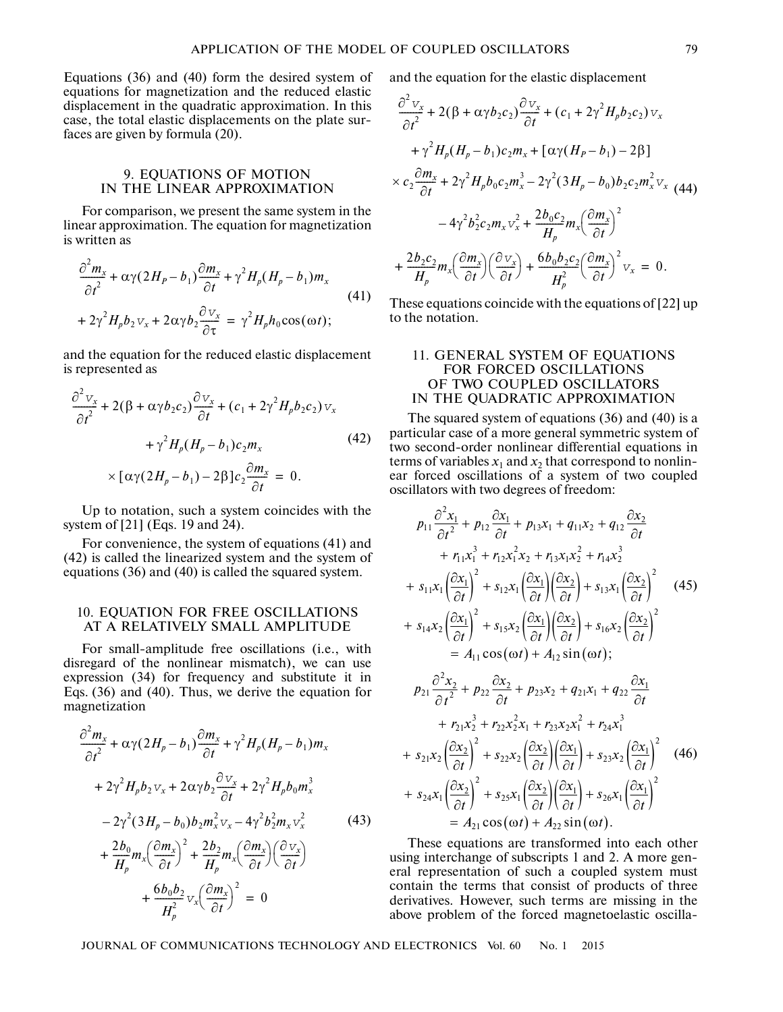Equations (36) and (40) form the desired system of equations for magnetization and the reduced elastic displacement in the quadratic approximation. In this case, the total elastic displacements on the plate sur faces are given by formula (20).

## 9. EQUATIONS OF MOTION IN THE LINEAR APPROXIMATION

For comparison, we present the same system in the linear approximation. The equation for magnetization is written as

$$
\frac{\partial^2 m_x}{\partial t^2} + \alpha \gamma (2H_P - b_1) \frac{\partial m_x}{\partial t} + \gamma^2 H_p (H_p - b_1) m_x
$$
  
+  $2\gamma^2 H_p b_2 v_x + 2\alpha \gamma b_2 \frac{\partial v_x}{\partial \tau} = \gamma^2 H_p h_0 \cos(\omega t);$  (41)

and the equation for the reduced elastic displacement is represented as

$$
\frac{\partial^2 v_x}{\partial t^2} + 2(\beta + \alpha \gamma b_2 c_2) \frac{\partial v_x}{\partial t} + (c_1 + 2\gamma^2 H_p b_2 c_2) v_x
$$
  
+  $\gamma^2 H_p (H_p - b_1) c_2 m_x$  (42)  

$$
\times [\alpha \gamma (2H_p - b_1) - 2\beta] c_2 \frac{\partial m_x}{\partial t} = 0.
$$

Up to notation, such a system coincides with the system of [21] (Eqs. 19 and 24).

For convenience, the system of equations (41) and (42) is called the linearized system and the system of equations (36) and (40) is called the squared system.

#### 10. EQUATION FOR FREE OSCILLATIONS AT A RELATIVELY SMALL AMPLITUDE

For small-amplitude free oscillations (i.e., with disregard of the nonlinear mismatch), we can use expression (34) for frequency and substitute it in Eqs. (36) and (40). Thus, we derive the equation for magnetization

$$
\frac{\partial^2 m_x}{\partial t^2} + \alpha \gamma (2H_p - b_1) \frac{\partial m_x}{\partial t} + \gamma^2 H_p (H_p - b_1) m_x
$$
  
+  $2\gamma^2 H_p b_2 v_x + 2\alpha \gamma b_2 \frac{\partial v_x}{\partial t} + 2\gamma^2 H_p b_0 m_x^3$   
-  $2\gamma^2 (3H_p - b_0) b_2 m_x^2 v_x - 4\gamma^2 b_2^2 m_x v_x^2$  (43)

$$
+\frac{2b_0}{H_p}m_x \left(\frac{\partial m_x}{\partial t}\right)^2 + \frac{2b_2}{H_p}m_x \left(\frac{\partial m_x}{\partial t}\right) \left(\frac{\partial v_x}{\partial t}\right)
$$

$$
+\frac{6b_0b_2}{H_p^2}v_x \left(\frac{\partial m_x}{\partial t}\right)^2 = 0
$$

and the equation for the elastic displacement

$$
\frac{\partial^2 v_x}{\partial t^2} + 2(\beta + \alpha \gamma b_2 c_2) \frac{\partial v_x}{\partial t} + (c_1 + 2\gamma^2 H_p b_2 c_2) v_x
$$
  
+  $\gamma^2 H_p (H_p - b_1) c_2 m_x + [\alpha \gamma (H_p - b_1) - 2\beta]$   
 $\times c_2 \frac{\partial m_x}{\partial t} + 2\gamma^2 H_p b_0 c_2 m_x^3 - 2\gamma^2 (3H_p - b_0) b_2 c_2 m_x^2 v_x$  (44)  
-  $4\gamma^2 b_2^2 c_2 m_x v_x^2 + \frac{2b_0 c_2}{H_p} m_x \left(\frac{\partial m_x}{\partial t}\right)^2$   
+  $\frac{2b_2 c_2}{H_p} m_x \left(\frac{\partial m_x}{\partial t}\right) \left(\frac{\partial v_x}{\partial t}\right) + \frac{6b_0 b_2 c_2}{H_p^2} \left(\frac{\partial m_x}{\partial t}\right)^2 v_x = 0.$ 

These equations coincide with the equations of [22] up to the notation.

## 11. GENERAL SYSTEM OF EQUATIONS FOR FORCED OSCILLATIONS OF TWO COUPLED OSCILLATORS IN THE QUADRATIC APPROXIMATION

The squared system of equations (36) and (40) is a particular case of a more general symmetric system of two second-order nonlinear differential equations in terms of variables  $x_1$  and  $x_2$  that correspond to nonlinear forced oscillations of a system of two coupled oscillators with two degrees of freedom:

$$
p_{11} \frac{\partial^2 x_1}{\partial t^2} + p_{12} \frac{\partial x_1}{\partial t} + p_{13}x_1 + q_{11}x_2 + q_{12} \frac{\partial x_2}{\partial t}
$$
  
+  $r_{11}x_1^3 + r_{12}x_1^2x_2 + r_{13}x_1x_2^2 + r_{14}x_2^3$   
+  $s_{11}x_1 \left(\frac{\partial x_1}{\partial t}\right)^2 + s_{12}x_1 \left(\frac{\partial x_1}{\partial t}\right) \left(\frac{\partial x_2}{\partial t}\right) + s_{13}x_1 \left(\frac{\partial x_2}{\partial t}\right)^2$  (45)  
+  $s_{14}x_2 \left(\frac{\partial x_1}{\partial t}\right)^2 + s_{15}x_2 \left(\frac{\partial x_1}{\partial t}\right) \left(\frac{\partial x_2}{\partial t}\right) + s_{16}x_2 \left(\frac{\partial x_2}{\partial t}\right)^2$   
=  $A_{11} \cos(\omega t) + A_{12} \sin(\omega t)$ ;  
 $p_{21} \frac{\partial^2 x_2}{\partial t^2} + p_{22} \frac{\partial x_2}{\partial t} + p_{23}x_2 + q_{21}x_1 + q_{22} \frac{\partial x_1}{\partial t}$   
+  $r_{21}x_2^3 + r_{22}x_2^2x_1 + r_{23}x_2x_1^2 + r_{24}x_1^3$   
+  $s_{21}x_2 \left(\frac{\partial x_2}{\partial t}\right)^2 + s_{22}x_2 \left(\frac{\partial x_2}{\partial t}\right) \left(\frac{\partial x_1}{\partial t}\right) + s_{23}x_2 \left(\frac{\partial x_1}{\partial t}\right)^2$  (46)  
+  $s_{24}x_1 \left(\frac{\partial x_2}{\partial t}\right)^2 + s_{25}x_1 \left(\frac{\partial x_2}{\partial t}\right) \left(\frac{\partial x_1}{\partial t}\right) + s_{26}x_1 \left(\frac{\partial x_1}{\partial t}\right)^2$   
=  $A_{21} \cos(\omega t) + A_{22} \sin(\omega t)$ .

These equations are transformed into each other using interchange of subscripts 1 and 2. A more gen eral representation of such a coupled system must contain the terms that consist of products of three derivatives. However, such terms are missing in the above problem of the forced magnetoelastic oscilla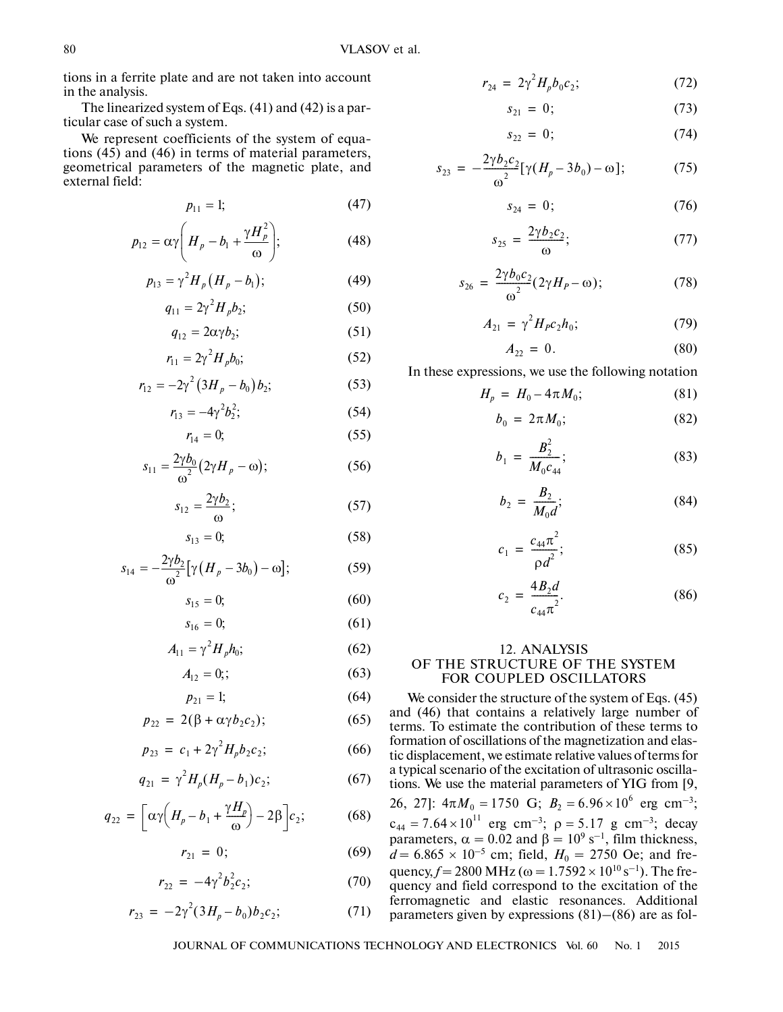tions in a ferrite plate and are not taken into account in the analysis.

The linearized system of Eqs. (41) and (42) is a par ticular case of such a system.

We represent coefficients of the system of equa tions (45) and (46) in terms of material parameters, geometrical parameters of the magnetic plate, and external field:

$$
p_{11} = 1; \t\t(47)
$$

$$
p_{12} = \alpha \gamma \left( H_p - b_1 + \frac{\gamma H_p^2}{\omega} \right); \tag{48}
$$

$$
p_{13} = \gamma^2 H_p (H_p - b_1); \tag{49}
$$

$$
q_{11} = 2\gamma^2 H_p b_2; \tag{50}
$$

$$
q_{12} = 2\alpha \gamma b_2; \tag{51}
$$

$$
r_{11} = 2\gamma^2 H_p b_0; \tag{52}
$$

$$
r_{12} = -2\gamma^2 (3H_p - b_0) b_2;
$$
 (53)

$$
r_{13} = -4\gamma^2 b_2^2; \tag{54}
$$

$$
r_{14}=0;\t\t(55)
$$

$$
s_{11} = \frac{2\gamma b_0}{\omega^2} \left( 2\gamma H_p - \omega \right); \tag{56}
$$

$$
s_{12} = \frac{2\gamma b_2}{\omega};\tag{57}
$$

$$
s_{13} = 0; \t\t(58)
$$

$$
s_{14} = -\frac{2\gamma b_2}{\omega^2} \left[ \gamma \left( H_p - 3b_0 \right) - \omega \right];\tag{59}
$$

$$
s_{15} = 0; \t\t(60)
$$

$$
s_{16} = 0; \t\t(61)
$$

$$
A_{11} = \gamma^2 H_p h_0; \tag{62}
$$

$$
A_{12} = 0;
$$
 (63)

$$
p_{21} = 1; \t\t(64)
$$

$$
p_{22} = 2(\beta + \alpha \gamma b_2 c_2); \tag{65}
$$

$$
p_{23} = c_1 + 2\gamma^2 H_p b_2 c_2; \tag{66}
$$

$$
q_{21} = \gamma^2 H_p (H_p - b_1) c_2; \tag{67}
$$

$$
q_{22} = \left[ \alpha \gamma \left( H_p - b_1 + \frac{\gamma H_p}{\omega} \right) - 2\beta \right] c_2; \tag{68}
$$

$$
r_{21} = 0; \t\t(69)
$$

$$
r_{22} = -4\gamma^2 b_2^2 c_2; \tag{70}
$$

$$
r_{23} = -2\gamma^2 (3H_p - b_0) b_2 c_2; \tag{71}
$$

$$
r_{24} = 2\gamma^2 H_p b_0 c_2; \tag{72}
$$

$$
s_{21} = 0; \t\t(73)
$$

$$
s_{22} = 0; \t\t(74)
$$

$$
s_{23} = -\frac{2\gamma b_2 c_2}{\omega^2} [\gamma (H_p - 3b_0) - \omega]; \tag{75}
$$

$$
s_{24} = 0; \t(76)
$$

$$
s_{25} = \frac{2\gamma b_2 c_2}{\omega};\tag{77}
$$

$$
s_{26} = \frac{2\gamma b_0 c_2}{\omega^2} (2\gamma H_P - \omega); \tag{78}
$$

$$
A_{21} = \gamma^2 H_p c_2 h_0; \tag{79}
$$

$$
A_{22} = 0. \t\t(80)
$$

In these expressions, we use the following notation

$$
H_p = H_0 - 4\pi M_0; \tag{81}
$$

$$
b_0 = 2\pi M_0; \tag{82}
$$

$$
b_1 = \frac{B_2^2}{M_0 c_{44}};
$$
 (83)

$$
b_2 = \frac{B_2}{M_0 d};
$$
 (84)

$$
c_1 = \frac{c_{44}\pi^2}{\rho d^2};
$$
 (85)

$$
c_2 = \frac{4B_2d}{c_{44}\pi^2}.
$$
 (86)

# 12. ANALYSIS OF THE STRUCTURE OF THE SYSTEM FOR COUPLED OSCILLATORS

We consider the structure of the system of Eqs. (45) and (46) that contains a relatively large number of terms. To estimate the contribution of these terms to formation of oscillations of the magnetization and elas tic displacement, we estimate relative values of terms for a typical scenario of the excitation of ultrasonic oscilla tions. We use the material parameters of YIG from [9, 26, 27]:  $4\pi M_0 = 1750 \text{ G}$ ;  $B_2 = 6.96 \times 10^6 \text{ erg cm}^{-3}$ ; erg cm<sup>-3</sup>;  $\rho = 5.17$  g cm<sup>-3</sup>; decay parameters,  $\alpha = 0.02$  and  $\beta = 10^9$  s<sup>-1</sup>, film thickness, *d* = 6.865 × 10<sup>-5</sup> cm; field,  $H_0 = 2750$  Oe; and frequency, *f* = 2800 MHz ( $\omega$  = 1.7592 × 10<sup>10</sup> s<sup>-1</sup>). The frequency and field correspond to the excitation of the ferromagnetic and elastic resonances. Additional parameters given by expressions (81)–(86) are as fol  $c_{44} = 7.64 \times 10^{11}$  erg cm<sup>-3</sup>;  $\rho = 5.17$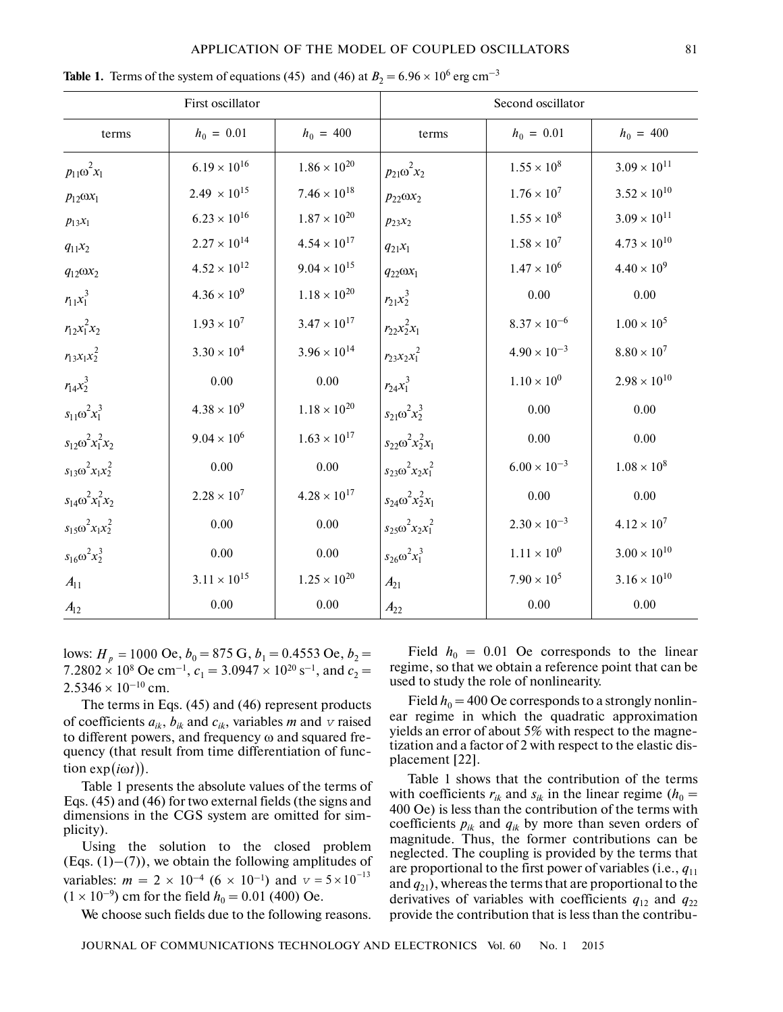#### APPLICATION OF THE MODEL OF COUPLED OSCILLATORS 81

| First oscillator            |                       |                       | Second oscillator           |                       |                       |
|-----------------------------|-----------------------|-----------------------|-----------------------------|-----------------------|-----------------------|
| terms                       | $h_0 = 0.01$          | $h_0 = 400$           | terms                       | $h_0 = 0.01$          | $h_0 = 400$           |
| $p_{11} \omega^2 x_1$       | $6.19 \times 10^{16}$ | $1.86 \times 10^{20}$ | $p_{21}\omega^2 x_2$        | $1.55 \times 10^{8}$  | $3.09 \times 10^{11}$ |
| $p_{12} \omega x_1$         | $2.49 \times 10^{15}$ | $7.46 \times 10^{18}$ | $p_{22} \omega x_2$         | $1.76\times10^7$      | $3.52 \times 10^{10}$ |
| $p_{13}x_1$                 | $6.23 \times 10^{16}$ | $1.87 \times 10^{20}$ | $p_{23}x_2$                 | $1.55 \times 10^{8}$  | $3.09 \times 10^{11}$ |
| $q_{11}x_2$                 | $2.27 \times 10^{14}$ | $4.54 \times 10^{17}$ | $q_{21}x_1$                 | $1.58 \times 10^{7}$  | $4.73 \times 10^{10}$ |
| $q_{12} \omega x_2$         | $4.52 \times 10^{12}$ | $9.04 \times 10^{15}$ | $q_{22} \omega x_1$         | $1.47 \times 10^{6}$  | $4.40 \times 10^{9}$  |
| $r_{11}x_1^3$               | $4.36 \times 10^{9}$  | $1.18\times10^{20}$   | $r_{21}x_2^3$               | 0.00                  | $0.00\,$              |
| $r_{12}x_1^2x_2$            | $1.93 \times 10^{7}$  | $3.47 \times 10^{17}$ | $r_{22}x_2^2x_1$            | $8.37 \times 10^{-6}$ | $1.00 \times 10^{5}$  |
| $r_{13}x_1x_2^2$            | $3.30 \times 10^{4}$  | $3.96 \times 10^{14}$ | $r_{23}x_2x_1^2$            | $4.90 \times 10^{-3}$ | $8.80 \times 10^{7}$  |
| $r_{14}x_2^3$               | 0.00                  | 0.00                  | $r_{24}x_1^3$               | $1.10 \times 10^{0}$  | $2.98 \times 10^{10}$ |
| $s_{11} \omega^2 x_1^3$     | $4.38 \times 10^{9}$  | $1.18 \times 10^{20}$ | $s_{21} \omega^2 x_2^3$     | $0.00\,$              | $0.00\,$              |
| $s_{12} \omega^2 x_1^2 x_2$ | $9.04 \times 10^{6}$  | $1.63 \times 10^{17}$ | $s_{22} \omega^2 x_2^2 x_1$ | 0.00                  | 0.00                  |
| $s_{13} \omega^2 x_1 x_2^2$ | 0.00                  | 0.00                  | $s_{23} \omega^2 x_2 x_1^2$ | $6.00 \times 10^{-3}$ | $1.08 \times 10^{8}$  |
| $s_{14} \omega^2 x_1^2 x_2$ | $2.28 \times 10^{7}$  | $4.28 \times 10^{17}$ | $s_{24} \omega^2 x_2^2 x_1$ | 0.00                  | 0.00                  |
| $s_{15} \omega^2 x_1 x_2^2$ | 0.00                  | 0.00                  | $s_{25} \omega^2 x_2 x_1^2$ | $2.30 \times 10^{-3}$ | $4.12 \times 10^{7}$  |
| $s_{16} \omega^2 x_2^3$     | $0.00\,$              | 0.00                  | $s_{26} \omega^2 x_1^3$     | $1.11 \times 10^{0}$  | $3.00 \times 10^{10}$ |
| $A_{11}$                    | $3.11 \times 10^{15}$ | $1.25 \times 10^{20}$ | $A_{21}$                    | $7.90 \times 10^{5}$  | $3.16 \times 10^{10}$ |
| $A_{12}$                    | 0.00                  | 0.00                  | $A_{22}$                    | $0.00\,$              | $0.00\,$              |

**Table 1.** Terms of the system of equations (45) and (46) at  $B_2 = 6.96 \times 10^6$  erg cm<sup>-3</sup>

lows:  $H_p = 1000$  Oe,  $b_0 = 875$  G,  $b_1 = 0.4553$  Oe,  $b_2 =$  $7.2802 \times 10^8$  Oe cm<sup>-1</sup>,  $c_1 = 3.0947 \times 10^{20}$  s<sup>-1</sup>, and  $c_2 =$  $2.5346 \times 10^{-10}$  cm.

The terms in Eqs. (45) and (46) represent products of coefficients  $a_{ik}$ ,  $b_{ik}$  and  $c_{ik}$ , variables *m* and *v* raised to different powers, and frequency ω and squared fre quency (that result from time differentiation of func-  $\text{tion } \exp(i\omega t)$ ).

Table 1 presents the absolute values of the terms of Eqs. (45) and (46) for two external fields (the signs and dimensions in the CGS system are omitted for sim plicity).

Using the solution to the closed problem (Eqs.  $(1)$ – $(7)$ ), we obtain the following amplitudes of Using the solution to the closed problem<br>(Eqs. (1)–(7)), we obtain the following amplitudes of<br>variables:  $m = 2 \times 10^{-4}$  (6 × 10<sup>-1</sup>) and  $v = 5 \times 10^{-13}$  $(1 \times 10^{-9})$  cm for the field  $h_0 = 0.01$  (400) Oe.

We choose such fields due to the following reasons.

Field  $h_0 = 0.01$  Oe corresponds to the linear regime, so that we obtain a reference point that can be used to study the role of nonlinearity.

Field  $h_0 = 400$  Oe corresponds to a strongly nonlinear regime in which the quadratic approximation yields an error of about 5% with respect to the magne tization and a factor of 2 with respect to the elastic dis placement [22].

Table 1 shows that the contribution of the terms with coefficients  $r_{ik}$  and  $s_{ik}$  in the linear regime ( $h_0 =$ 400 Oe) is less than the contribution of the terms with coefficients  $p_{ik}$  and  $q_{ik}$  by more than seven orders of magnitude. Thus, the former contributions can be neglected. The coupling is provided by the terms that are proportional to the first power of variables (i.e., *q*<sup>11</sup> and *q*21), whereas the terms that are proportional to the derivatives of variables with coefficients  $q_{12}$  and  $q_{22}$ provide the contribution that is less than the contribu-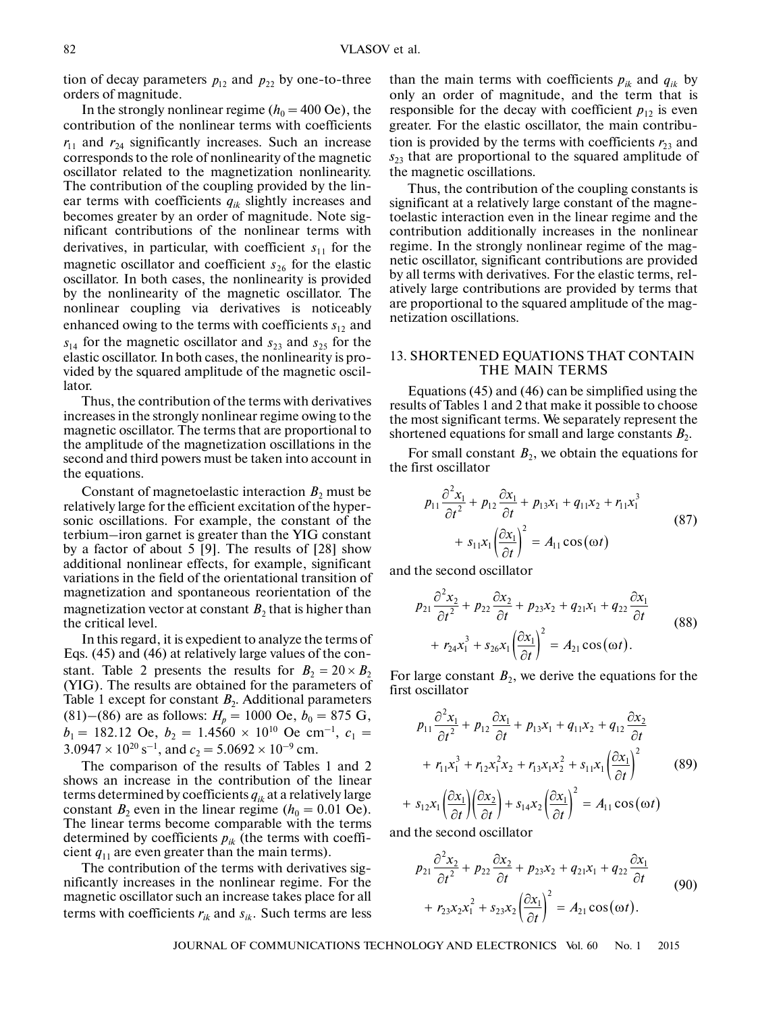tion of decay parameters  $p_{12}$  and  $p_{22}$  by one-to-three orders of magnitude.

In the strongly nonlinear regime ( $h_0 = 400$  Oe), the contribution of the nonlinear terms with coefficients  $r_{11}$  and  $r_{24}$  significantly increases. Such an increase corresponds to the role of nonlinearity of the magnetic oscillator related to the magnetization nonlinearity. The contribution of the coupling provided by the lin ear terms with coefficients *qik* slightly increases and becomes greater by an order of magnitude. Note sig nificant contributions of the nonlinear terms with derivatives, in particular, with coefficient  $s<sub>11</sub>$  for the magnetic oscillator and coefficient  $s_{26}$  for the elastic oscillator. In both cases, the nonlinearity is provided by the nonlinearity of the magnetic oscillator. The nonlinear coupling via derivatives is noticeably enhanced owing to the terms with coefficients  $s_{12}$  and  $s<sub>14</sub>$  for the magnetic oscillator and  $s<sub>23</sub>$  and  $s<sub>25</sub>$  for the elastic oscillator. In both cases, the nonlinearity is pro vided by the squared amplitude of the magnetic oscil lator.

Thus, the contribution of the terms with derivatives increases in the strongly nonlinear regime owing to the magnetic oscillator. The terms that are proportional to the amplitude of the magnetization oscillations in the second and third powers must be taken into account in the equations.

Constant of magnetoelastic interaction  $B_2$  must be relatively large for the efficient excitation of the hyper sonic oscillations. For example, the constant of the terbium–iron garnet is greater than the YIG constant by a factor of about 5 [9]. The results of [28] show additional nonlinear effects, for example, significant variations in the field of the orientational transition of magnetization and spontaneous reorientation of the magnetization vector at constant  $B_2$  that is higher than the critical level.

In this regard, it is expedient to analyze the terms of Eqs. (45) and (46) at relatively large values of the con- Eqs. (45) and (46) at relatively large values of the constant. Table 2 presents the results for  $B_2 = 20 \times B_2$ (YIG). The results are obtained for the parameters of Table 1 except for constant  $B_2$ . Additional parameters (81)–(86) are as follows:  $H_p = 1000$  Oe,  $b_0 = 875$  G,  $b_1 = 182.12$  Oe,  $b_2 = 1.4560 \times 10^{10}$  Oe cm<sup>-1</sup>,  $c_1 =$  $3.0947 \times 10^{20}$  s<sup>-1</sup>, and  $c_2 = 5.0692 \times 10^{-9}$  cm.

The comparison of the results of Tables 1 and 2 shows an increase in the contribution of the linear terms determined by coefficients  $q_{ik}$  at a relatively large constant  $B_2$  even in the linear regime ( $h_0 = 0.01$  Oe). The linear terms become comparable with the terms determined by coefficients  $p_{ik}$  (the terms with coefficient  $q_{11}$  are even greater than the main terms).

The contribution of the terms with derivatives sig nificantly increases in the nonlinear regime. For the magnetic oscillator such an increase takes place for all terms with coefficients  $r_{ik}$  and  $s_{ik}$ . Such terms are less

than the main terms with coefficients  $p_{ik}$  and  $q_{ik}$  by only an order of magnitude, and the term that is responsible for the decay with coefficient  $p_{12}$  is even greater. For the elastic oscillator, the main contribu tion is provided by the terms with coefficients  $r_{23}$  and *s*23 that are proportional to the squared amplitude of the magnetic oscillations.

Thus, the contribution of the coupling constants is significant at a relatively large constant of the magne toelastic interaction even in the linear regime and the contribution additionally increases in the nonlinear regime. In the strongly nonlinear regime of the mag netic oscillator, significant contributions are provided by all terms with derivatives. For the elastic terms, rel atively large contributions are provided by terms that are proportional to the squared amplitude of the mag netization oscillations.

## 13. SHORTENED EQUATIONS THAT CONTAIN THE MAIN TERMS

Equations (45) and (46) can be simplified using the results of Tables 1 and 2 that make it possible to choose the most significant terms. We separately represent the shortened equations for small and large constants  $B_2$ .

For small constant  $B_2$ , we obtain the equations for the first oscillator

$$
p_{11} \frac{\partial^2 x_1}{\partial t^2} + p_{12} \frac{\partial x_1}{\partial t} + p_{13} x_1 + q_{11} x_2 + r_{11} x_1^3 + s_{11} x_1 \left(\frac{\partial x_1}{\partial t}\right)^2 = A_{11} \cos(\omega t)
$$
 (87)

and the second oscillator

$$
p_{21}\frac{\partial^2 x_2}{\partial t^2} + p_{22}\frac{\partial x_2}{\partial t} + p_{23}x_2 + q_{21}x_1 + q_{22}\frac{\partial x_1}{\partial t}
$$
  
+ 
$$
r_{24}x_1^3 + s_{26}x_1\left(\frac{\partial x_1}{\partial t}\right)^2 = A_{21}\cos(\omega t).
$$
 (88)

For large constant  $B_2$ , we derive the equations for the first oscillator

$$
p_{11} \frac{\partial^2 x_1}{\partial t^2} + p_{12} \frac{\partial x_1}{\partial t} + p_{13} x_1 + q_{11} x_2 + q_{12} \frac{\partial x_2}{\partial t} + r_{11} x_1^3 + r_{12} x_1^2 x_2 + r_{13} x_1 x_2^2 + s_{11} x_1 \left(\frac{\partial x_1}{\partial t}\right)^2
$$
(89)

+ 
$$
s_{12}x_1 \left( \frac{\partial x_1}{\partial t} \right) \left( \frac{\partial x_2}{\partial t} \right) + s_{14}x_2 \left( \frac{\partial x_1}{\partial t} \right) = A_{11} \cos(\omega t)
$$

and the second oscillator

$$
p_{21} \frac{\partial^2 x_2}{\partial t^2} + p_{22} \frac{\partial x_2}{\partial t} + p_{23} x_2 + q_{21} x_1 + q_{22} \frac{\partial x_1}{\partial t} + r_{23} x_2 x_1^2 + s_{23} x_2 \left(\frac{\partial x_1}{\partial t}\right)^2 = A_{21} \cos(\omega t).
$$
 (90)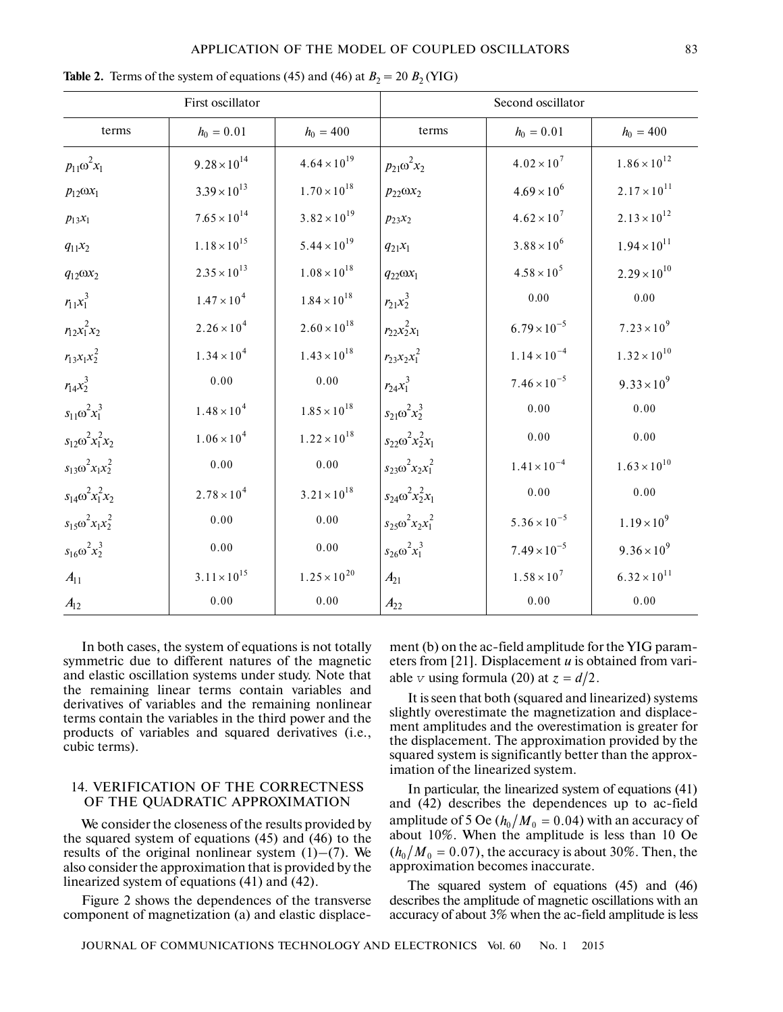## APPLICATION OF THE MODEL OF COUPLED OSCILLATORS 83

| First oscillator            |                       |                       | Second oscillator           |                       |                       |
|-----------------------------|-----------------------|-----------------------|-----------------------------|-----------------------|-----------------------|
| terms                       | $h_0 = 0.01$          | $h_0 = 400$           | terms                       | $h_0 = 0.01$          | $h_0 = 400$           |
| $p_{11} \omega^2 x_1$       | $9.28 \times 10^{14}$ | $4.64 \times 10^{19}$ | $p_{21} \omega^2 x_2$       | $4.02 \times 10^{7}$  | $1.86 \times 10^{12}$ |
| $p_{12} \omega x_1$         | $3.39 \times 10^{13}$ | $1.70 \times 10^{18}$ | $p_{22} \omega x_2$         | $4.69 \times 10^{6}$  | $2.17 \times 10^{11}$ |
| $p_{13}x_1$                 | $7.65\times10^{14}$   | $3.82 \times 10^{19}$ | $p_{23}x_2$                 | $4.62 \times 10^{7}$  | $2.13 \times 10^{12}$ |
| $q_{11}x_2$                 | $1.18\times10^{15}$   | $5.44 \times 10^{19}$ | $q_{21}x_1$                 | $3.88 \times 10^{6}$  | $1.94 \times 10^{11}$ |
| $q_{12} \omega x_2$         | $2.35 \times 10^{13}$ | $1.08\times10^{18}$   | $q_{22} \omega x_1$         | $4.58 \times 10^{5}$  | $2.29 \times 10^{10}$ |
| $r_{11}x_1^3$               | $1.47 \times 10^{4}$  | $1.84 \times 10^{18}$ | $r_{21}x_2^3$               | $0.00\,$              | $0.00\,$              |
| $r_{12}x_1^2x_2$            | $2.26\times10^4$      | $2.60 \times 10^{18}$ | $r_{22}x_2^2x_1$            | $6.79 \times 10^{-5}$ | $7.23 \times 10^{9}$  |
| $r_{13}x_1x_2^2$            | $1.34 \times 10^{4}$  | $1.43 \times 10^{18}$ | $r_{23}x_2x_1^2$            | $1.14 \times 10^{-4}$ | $1.32 \times 10^{10}$ |
| $r_{14}x_2^3$               | 0.00                  | 0.00                  | $r_{24}x_1^3$               | $7.46 \times 10^{-5}$ | $9.33 \times 10^{9}$  |
| $s_{11} \omega^2 x_1^3$     | $1.48 \times 10^{4}$  | $1.85 \times 10^{18}$ | $s_{21} \omega^2 x_2^3$     | 0.00                  | 0.00                  |
| $s_{12} \omega^2 x_1^2 x_2$ | $1.06\times10^4$      | $1.22 \times 10^{18}$ | $s_{22} \omega^2 x_2^2 x_1$ | 0.00                  | 0.00                  |
| $s_{13} \omega^2 x_1 x_2^2$ | 0.00                  | $0.00\,$              | $s_{23} \omega^2 x_2 x_1^2$ | $1.41 \times 10^{-4}$ | $1.63 \times 10^{10}$ |
| $s_{14} \omega^2 x_1^2 x_2$ | $2.78 \times 10^{4}$  | $3.21 \times 10^{18}$ | $s_{24} \omega^2 x_2^2 x_1$ | 0.00                  | 0.00                  |
| $s_{15} \omega^2 x_1 x_2^2$ | 0.00                  | 0.00                  | $s_{25} \omega^2 x_2 x_1^2$ | $5.36 \times 10^{-5}$ | $1.19 \times 10^{9}$  |
| $s_{16} \omega^2 x_2^3$     | 0.00                  | 0.00                  | $s_{26} \omega^2 x_1^3$     | $7.49 \times 10^{-5}$ | $9.36 \times 10^{9}$  |
| $A_{11}$                    | $3.11 \times 10^{15}$ | $1.25 \times 10^{20}$ | $A_{21}$                    | $1.58 \times 10^{7}$  | $6.32 \times 10^{11}$ |
| $A_{12}$                    | 0.00                  | $0.00\,$              | $A_{22}$                    | $0.00\,$              | $0.00\,$              |

**Table 2.** Terms of the system of equations (45) and (46) at  $B_2 = 20 B_2$  (YIG)

In both cases, the system of equations is not totally symmetric due to different natures of the magnetic and elastic oscillation systems under study. Note that the remaining linear terms contain variables and derivatives of variables and the remaining nonlinear terms contain the variables in the third power and the products of variables and squared derivatives (i.e., cubic terms).

# 14. VERIFICATION OF THE CORRECTNESS OF THE QUADRATIC APPROXIMATION

We consider the closeness of the results provided by the squared system of equations (45) and (46) to the results of the original nonlinear system  $(1)$ – $(7)$ . We also consider the approximation that is provided by the linearized system of equations (41) and (42).

Figure 2 shows the dependences of the transverse component of magnetization (a) and elastic displacement (b) on the ac-field amplitude for the YIG param eters from [21]. Displacement *u* is obtained from vari eters from [21]. Displacement *u* is ob<br>able *v* using formula (20) at  $z = d/2$ .

It is seen that both (squared and linearized) systems slightly overestimate the magnetization and displace ment amplitudes and the overestimation is greater for the displacement. The approximation provided by the squared system is significantly better than the approx imation of the linearized system.

In particular, the linearized system of equations (41) and (42) describes the dependences up to ac-field and (42) describes the dependences up to ac-held<br>amplitude of 5 Oe ( $h_0/M_0 = 0.04$ ) with an accuracy of about 10%. When the amplitude is less than 10 Oe about 10%. When the amphitude is less than 10 Oe  $(h_0/M_0 = 0.07)$ , the accuracy is about 30%. Then, the approximation becomes inaccurate.

The squared system of equations (45) and (46) describes the amplitude of magnetic oscillations with an accuracy of about 3% when the ac-field amplitude is less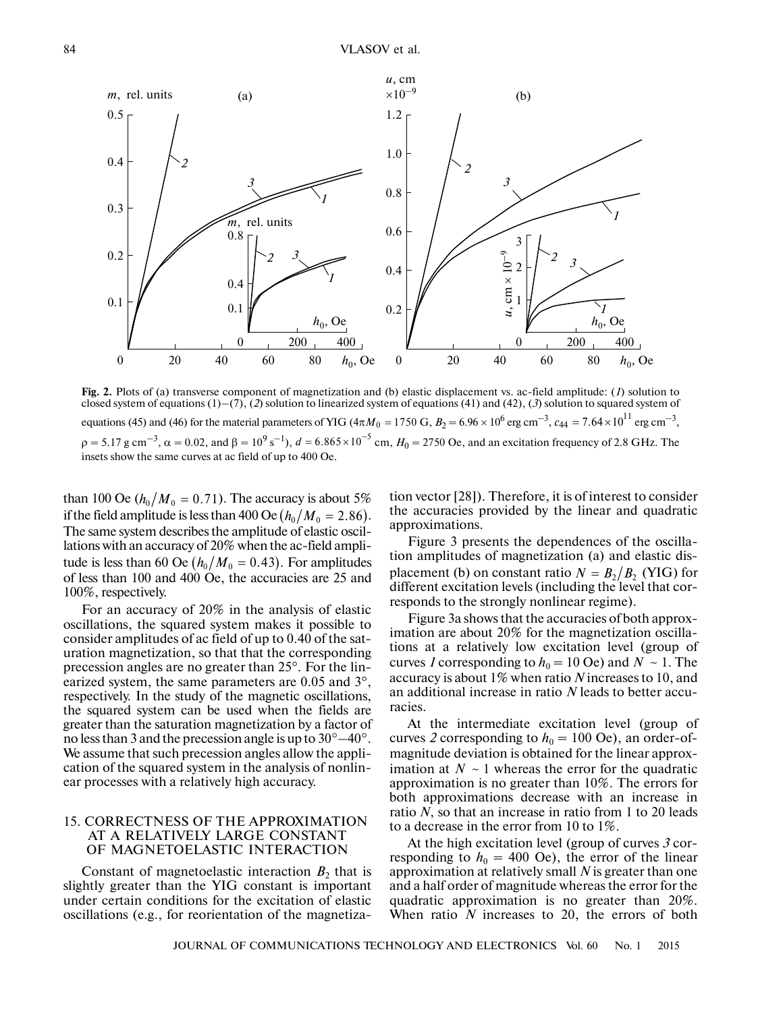

**Fig. 2.** Plots of (a) transverse component of magnetization and (b) elastic displacement vs. ac-field amplitude: (*1*) solution to closed system of equations (1)–(7), (*2*) solution to linearized system of equations (41) and (42), (*3*) solution to squared system of equations (45) and (46) for the material parameters of YIG ( $4\pi M_0 = 1750$  G,  $B_2 = 6.96 \times 10^6$  erg cm<sup>-3</sup>,  $c_{44} = 7.64 \times 10^{11}$  erg cm<sup>-3</sup>,  $\rho = 5.17$  g cm<sup>-3</sup>,  $\alpha = 0.02$ , and  $\beta = 10^9$  s<sup>-1</sup>),  $d = 6.865 \times 10^{-5}$  cm,  $H_0 = 2750$  Oe, and an excitation frequency of 2.8 GHz. The insets show the same curves at ac field of up to 400 Oe. magnetization and<br>formulate the state of YIG ( $4\pi M$ <br>*d* =  $6.865 \times 10^{-5}$ 

than 100 Oe  $(h_0/M_0 = 0.71)$ . The accuracy is about 5% than 100 Oe  $(n_0/M_0 = 0.71)$ . The accuracy is about 3%<br>if the field amplitude is less than 400 Oe  $(h_0/M_0 = 2.86)$ . The same system describes the amplitude of elastic oscil lations with an accuracy of 20% when the ac-field ampli tude is less than 60 Oe  $(h_0/M_0 = 0.43)$ . For amplitudes of less than 100 and 400 Oe, the accuracies are 25 and 100%, respectively.  $(h_0/M_0 = 0.43)$ 

For an accuracy of 20% in the analysis of elastic oscillations, the squared system makes it possible to consider amplitudes of ac field of up to 0.40 of the sat uration magnetization, so that that the corresponding precession angles are no greater than 25°. For the linprecession angles are no greater than 25°. For the linearized system, the same parameters are 0.05 and 3°, respectively. In the study of the magnetic oscillations, the squared system can be used when the fields are greater than the saturation magnetization by a factor of no less than 3 and the precession angle is up to  $30^{\circ} - 40^{\circ}$ . We assume that such precession angles allow the appli cation of the squared system in the analysis of nonlin ear processes with a relatively high accuracy.

# 15. CORRECTNESS OF THE APPROXIMATION AT A RELATIVELY LARGE CONSTANT OF MAGNETOELASTIC INTERACTION

Constant of magnetoelastic interaction  $B_2$  that is slightly greater than the YIG constant is important under certain conditions for the excitation of elastic oscillations (e.g., for reorientation of the magnetization vector [28]). Therefore, it is of interest to consider the accuracies provided by the linear and quadratic approximations.

Figure 3 presents the dependences of the oscilla tion amplitudes of magnetization (a) and elastic dis tion amplitudes of magnetization (a) and elastic dis-<br>placement (b) on constant ratio  $N = B_2/B_2$  (YIG) for different excitation levels (including the level that cor responds to the strongly nonlinear regime).

Figure 3a shows that the accuracies of both approx imation are about 20% for the magnetization oscilla tions at a relatively low excitation level (group of curves *1* corresponding to  $h_0 = 10$  Oe) and  $N \sim 1$ . The accuracy is about 1% when ratio *N* increases to 10, and an additional increase in ratio *N* leads to better accuracies.

At the intermediate excitation level (group of curves 2 corresponding to  $h_0 = 100$  Oe), an order-ofmagnitude deviation is obtained for the linear approx imation at  $N \sim 1$  whereas the error for the quadratic approximation is no greater than 10%. The errors for both approximations decrease with an increase in ratio *N*, so that an increase in ratio from 1 to 20 leads to a decrease in the error from 10 to 1%.

At the high excitation level (group of curves *3* cor responding to  $h_0 = 400$  Oe), the error of the linear approximation at relatively small *N* is greater than one and a half order of magnitude whereas the error for the quadratic approximation is no greater than 20%. When ratio *N* increases to 20, the errors of both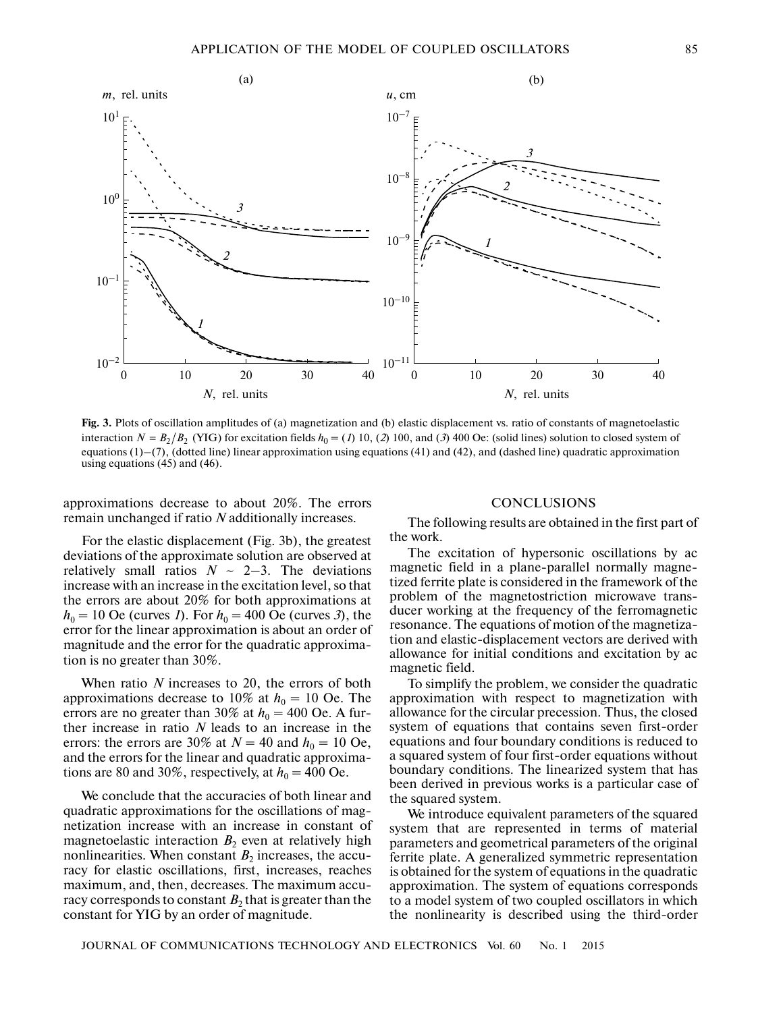

**Fig. 3.** Plots of oscillation amplitudes of (a) magnetization and (b) elastic displacement vs. ratio of constants of magnetoelastic Fig. 5. Flots of oscination amplitudes of (a) magnetization and (b) elastic displacement vs. Tatio of constants of magneticiastic interaction  $N = B_2/B_2$  (YIG) for excitation fields  $h_0 = (I) 10$ , (2) 100, and (3) 400 Oe: ( equations  $(1)$ – $(7)$ , (dotted line) linear approximation using equations (41) and (42), and (dashed line) quadratic approximation using equations  $(45)$  and  $(46)$ .

approximations decrease to about 20%. The errors remain unchanged if ratio *N* additionally increases.

# For the elastic displacement (Fig. 3b), the greatest deviations of the approximate solution are observed at relatively small ratios  $N \sim 2-3$ . The deviations increase with an increase in the excitation level, so that the errors are about 20% for both approximations at  $h_0 = 10$  Oe (curves *1*). For  $h_0 = 400$  Oe (curves *3*), the error for the linear approximation is about an order of magnitude and the error for the quadratic approxima tion is no greater than 30%.

When ratio *N* increases to 20, the errors of both approximations decrease to 10% at  $h_0 = 10$  Oe. The errors are no greater than  $30\%$  at  $h_0 = 400$  Oe. A further increase in ratio *N* leads to an increase in the errors: the errors are 30% at  $N = 40$  and  $h_0 = 10$  Oe, and the errors for the linear and quadratic approxima tions are 80 and 30%, respectively, at  $h_0 = 400$  Oe.

We conclude that the accuracies of both linear and quadratic approximations for the oscillations of mag netization increase with an increase in constant of magnetoelastic interaction  $B_2$  even at relatively high nonlinearities. When constant  $B_2$  increases, the accuracy for elastic oscillations, first, increases, reaches maximum, and, then, decreases. The maximum accu racy corresponds to constant  $B_2$  that is greater than the constant for YIG by an order of magnitude.

## CONCLUSIONS

The following results are obtained in the first part of the work.

The excitation of hypersonic oscillations by ac magnetic field in a plane-parallel normally magne tized ferrite plate is considered in the framework of the problem of the magnetostriction microwave trans ducer working at the frequency of the ferromagnetic resonance. The equations of motion of the magnetiza tion and elastic-displacement vectors are derived with allowance for initial conditions and excitation by ac magnetic field.

To simplify the problem, we consider the quadratic approximation with respect to magnetization with allowance for the circular precession. Thus, the closed system of equations that contains seven first-order equations and four boundary conditions is reduced to a squared system of four first-order equations without boundary conditions. The linearized system that has been derived in previous works is a particular case of the squared system.

We introduce equivalent parameters of the squared system that are represented in terms of material parameters and geometrical parameters of the original ferrite plate. A generalized symmetric representation is obtained for the system of equations in the quadratic approximation. The system of equations corresponds to a model system of two coupled oscillators in which the nonlinearity is described using the third-order